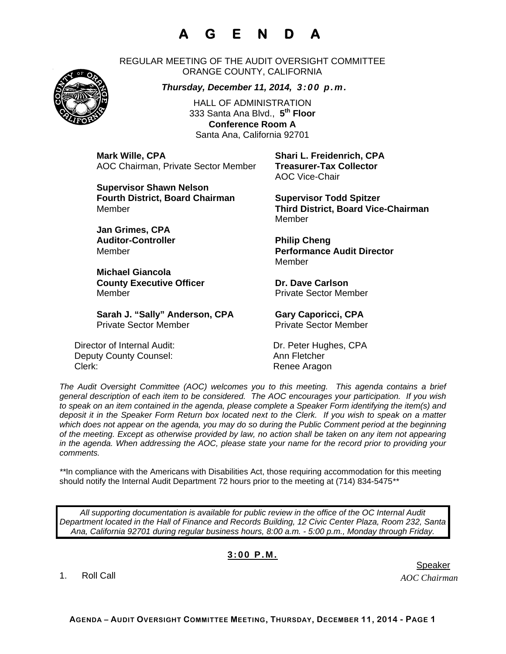## **A G E N D A**

REGULAR MEETING OF THE AUDIT OVERSIGHT COMMITTEE ORANGE COUNTY, CALIFORNIA

*Thursday, December 11, 2014, 3:00 p.m.*

HALL OF ADMINISTRATION 333 Santa Ana Blvd., **5th Floor Conference Room A**  Santa Ana, California 92701

**Mark Wille, CPA Shari L. Freidenrich, CPA** AOC Chairman, Private Sector Member **Treasurer-Tax Collector** 

**Supervisor Shawn Nelson Fourth District, Board Chairman Supervisor Todd Spitzer** 

**Jan Grimes, CPA**  Auditor-Controller **Philip Cheng** 

**Michael Giancola County Executive Officer Carlson County Executive Officer Acts Carlson Carlson County County County County County County County County County County County County County County County County County County County County Co** Member **Member** Private Sector Member

Sarah J. "Sally" Anderson, CPA **Gary Caporicci, CPA** Private Sector Member Private Sector Member

Director of Internal Audit: Dr. Peter Hughes, CPA Deputy County Counsel: Ann Fletcher Clerk: Clerk: Clerk: Renee Aragon

AOC Vice-Chair

Member **Third District, Board Vice-Chairman**  Member

Member **Performance Audit Director**  Member

*The Audit Oversight Committee (AOC) welcomes you to this meeting. This agenda contains a brief general description of each item to be considered. The AOC encourages your participation. If you wish to speak on an item contained in the agenda, please complete a Speaker Form identifying the item(s) and deposit it in the Speaker Form Return box located next to the Clerk. If you wish to speak on a matter which does not appear on the agenda, you may do so during the Public Comment period at the beginning of the meeting. Except as otherwise provided by law, no action shall be taken on any item not appearing in the agenda. When addressing the AOC, please state your name for the record prior to providing your comments.* 

*\*\**In compliance with the Americans with Disabilities Act, those requiring accommodation for this meeting should notify the Internal Audit Department 72 hours prior to the meeting at (714) 834-5475*\*\** 

*All supporting documentation is available for public review in the office of the OC Internal Audit Department located in the Hall of Finance and Records Building, 12 Civic Center Plaza, Room 232, Santa Ana, California 92701 during regular business hours, 8:00 a.m. - 5:00 p.m., Monday through Friday.* 

## **3:00 P.M.**

1. Roll Call

*AOC Chairman* 



er in de staat de staat de bestiet in de staat de staat de staat de Speaker en de Speaker in de Speaker en de